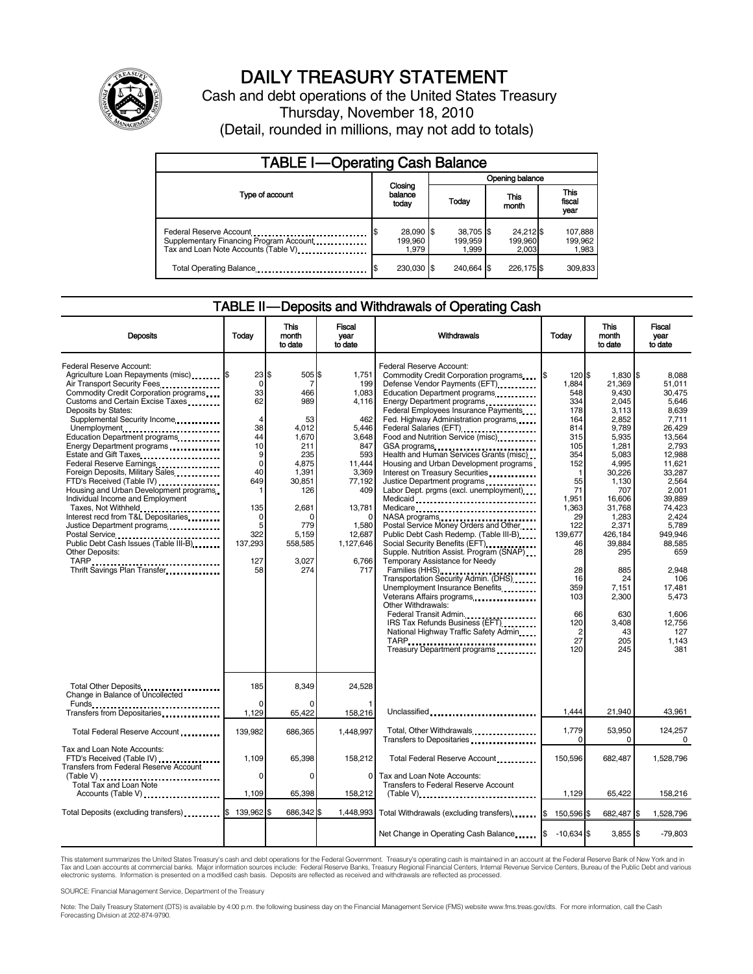

# DAILY TREASURY STATEMENT

Cash and debt operations of the United States Treasury Thursday, November 18, 2010 (Detail, rounded in millions, may not add to totals)

| <b>TABLE I-Operating Cash Balance</b>                                                                      |                                      |                               |                               |                             |  |  |
|------------------------------------------------------------------------------------------------------------|--------------------------------------|-------------------------------|-------------------------------|-----------------------------|--|--|
|                                                                                                            | Closing<br>balance<br>Today<br>today |                               | Opening balance               |                             |  |  |
| Type of account                                                                                            |                                      |                               | This<br>month                 | This<br>fiscal<br>year      |  |  |
| Federal Reserve Account<br>Supplementary Financing Program Account<br>Tax and Loan Note Accounts (Table V) | \$<br>28,090 \$<br>199,960<br>1.979  | 38,705 \$<br>199.959<br>1.999 | 24,212 \$<br>199,960<br>2.003 | 107,888<br>199,962<br>1,983 |  |  |
| Total Operating Balance                                                                                    | 230.030 \$                           | 240.664                       | 226.175 \$                    | 309,833                     |  |  |

## TABLE II — Deposits and Withdrawals of Operating Cash

| <b>Deposits</b>                                                                                                                                                                                                                                                                                                                                                                                                                                                                                                                                                                                                                                                                                                           | Todav                                                                                                                                           | This<br>month<br>to date                                                                                                                                    | Fiscal<br>year<br>to date                                                                                                                                           | <b>Withdrawals</b>                                                                                                                                                                                                                                                                                                                                                                                                                                                                                                                                                                                                                                                                                                                                                                                                                                                                                                                                                                                  | <b>Today</b>                                                                                                                                                                                                                           | <b>This</b><br>month<br>to date                                                                                                                                                                                                                                     | Fiscal<br>vear<br>to date                                                                                                                                                                                                                                                        |
|---------------------------------------------------------------------------------------------------------------------------------------------------------------------------------------------------------------------------------------------------------------------------------------------------------------------------------------------------------------------------------------------------------------------------------------------------------------------------------------------------------------------------------------------------------------------------------------------------------------------------------------------------------------------------------------------------------------------------|-------------------------------------------------------------------------------------------------------------------------------------------------|-------------------------------------------------------------------------------------------------------------------------------------------------------------|---------------------------------------------------------------------------------------------------------------------------------------------------------------------|-----------------------------------------------------------------------------------------------------------------------------------------------------------------------------------------------------------------------------------------------------------------------------------------------------------------------------------------------------------------------------------------------------------------------------------------------------------------------------------------------------------------------------------------------------------------------------------------------------------------------------------------------------------------------------------------------------------------------------------------------------------------------------------------------------------------------------------------------------------------------------------------------------------------------------------------------------------------------------------------------------|----------------------------------------------------------------------------------------------------------------------------------------------------------------------------------------------------------------------------------------|---------------------------------------------------------------------------------------------------------------------------------------------------------------------------------------------------------------------------------------------------------------------|----------------------------------------------------------------------------------------------------------------------------------------------------------------------------------------------------------------------------------------------------------------------------------|
| Federal Reserve Account:<br>Agriculture Loan Repayments (misc) \$<br>Air Transport Security Fees.<br>Commodity Credit Corporation programs<br>Customs and Certain Excise Taxes<br>Deposits by States:<br>Supplemental Security Income<br>Unemployment<br>Education Department programs<br>Energy Department programs<br>Estate and Gift Taxes<br>Federal Reserve Earnings<br>Foreign Deposits, Military Sales<br>FTD's Received (Table IV)<br>Housing and Urban Development programs<br>Individual Income and Employment<br>Taxes, Not Withheld<br>Interest recd from T&L Depositaries<br>Justice Department programs<br>Public Debt Cash Issues (Table III-B)<br>Other Deposits:<br>TARP<br>Thrift Savings Plan Transfer | 23 S<br>0<br>33<br>62<br>$\overline{4}$<br>38<br>44<br>10<br>9<br>$\mathbf 0$<br>40<br>649<br>1<br>135<br>0<br>5<br>322<br>137,293<br>127<br>58 | 505 \$<br>7<br>466<br>989<br>53<br>4,012<br>1,670<br>211<br>235<br>4,875<br>1,391<br>30,851<br>126<br>2,681<br>C<br>779<br>5,159<br>558,585<br>3,027<br>274 | 1,751<br>199<br>1,083<br>4,116<br>462<br>5,446<br>3,648<br>847<br>593<br>11,444<br>3,369<br>77,192<br>409<br>13,781<br>1,580<br>12,687<br>1,127,646<br>6,766<br>717 | Federal Reserve Account:<br>Commodity Credit Corporation programs<br>Defense Vendor Payments (EFT)<br>Education Department programs<br>Energy Department programs<br>Federal Employees Insurance Payments<br>Fed. Highway Administration programs<br>Food and Nutrition Service (misc)<br>GSA programs<br>Health and Human Services Grants (misc)<br>Housing and Urban Development programs<br>Interest on Treasury Securities<br>Justice Department programs<br>Labor Dept. prgms (excl. unemployment)<br>Medicaid<br>Medicare<br>Postal Service Money Orders and Other<br>Public Debt Cash Redemp. (Table III-B)<br>Social Security Benefits (EFT)<br>Supple. Nutrition Assist. Program (SNAP)<br>Temporary Assistance for Needy<br>Families (HHS) <b></b><br>Transportation Security Admin. (DHS)<br>Unemployment Insurance Benefits<br>Other Withdrawals:<br>Federal Transit Admin.<br>IRS Tax Refunds Business (EFT).<br>National Highway Traffic Safety Admin<br>Treasury Department programs | 120 \$<br>1.884<br>548<br>334<br>178<br>164<br>814<br>315<br>105<br>354<br>152<br>$\mathbf{1}$<br>55<br>71<br>1,951<br>1.363<br>29<br>122<br>139,677<br>46<br>28<br>28<br>16<br>359<br>103<br>66<br>120<br>$\overline{2}$<br>27<br>120 | $1.830$ S<br>21.369<br>9,430<br>2,045<br>3,113<br>2.852<br>9,789<br>5,935<br>1,281<br>5,083<br>4,995<br>30,226<br>1,130<br>707<br>16,606<br>31,768<br>1,283<br>2,371<br>426,184<br>39,884<br>295<br>885<br>24<br>7,151<br>2,300<br>630<br>3,408<br>43<br>205<br>245 | 8.088<br>51.011<br>30,475<br>5,646<br>8,639<br>7.711<br>26,429<br>13.564<br>2,793<br>12.988<br>11.621<br>33.287<br>2,564<br>2,001<br>39,889<br>74.423<br>2.424<br>5,789<br>949.946<br>88.585<br>659<br>2,948<br>106<br>17.481<br>5,473<br>1.606<br>12,756<br>127<br>1.143<br>381 |
| Total Other Deposits<br>Change in Balance of Uncollected                                                                                                                                                                                                                                                                                                                                                                                                                                                                                                                                                                                                                                                                  | 185<br>$\Omega$                                                                                                                                 | 8.349                                                                                                                                                       | 24.528                                                                                                                                                              |                                                                                                                                                                                                                                                                                                                                                                                                                                                                                                                                                                                                                                                                                                                                                                                                                                                                                                                                                                                                     |                                                                                                                                                                                                                                        |                                                                                                                                                                                                                                                                     |                                                                                                                                                                                                                                                                                  |
|                                                                                                                                                                                                                                                                                                                                                                                                                                                                                                                                                                                                                                                                                                                           | 1,129                                                                                                                                           | 65,422                                                                                                                                                      | 158,216                                                                                                                                                             | Unclassified                                                                                                                                                                                                                                                                                                                                                                                                                                                                                                                                                                                                                                                                                                                                                                                                                                                                                                                                                                                        | 1.444                                                                                                                                                                                                                                  | 21.940                                                                                                                                                                                                                                                              | 43,961                                                                                                                                                                                                                                                                           |
| Total Federal Reserve Account                                                                                                                                                                                                                                                                                                                                                                                                                                                                                                                                                                                                                                                                                             | 139,982                                                                                                                                         | 686,365                                                                                                                                                     | 1,448,997                                                                                                                                                           | Total, Other Withdrawals<br>Transfers to Depositaries                                                                                                                                                                                                                                                                                                                                                                                                                                                                                                                                                                                                                                                                                                                                                                                                                                                                                                                                               | 1,779<br>0                                                                                                                                                                                                                             | 53,950<br>0                                                                                                                                                                                                                                                         | 124,257<br>0                                                                                                                                                                                                                                                                     |
| Tax and Loan Note Accounts:<br>FTD's Received (Table IV)<br>Transfers from Federal Reserve Account                                                                                                                                                                                                                                                                                                                                                                                                                                                                                                                                                                                                                        | 1.109<br>$\Omega$                                                                                                                               | 65,398                                                                                                                                                      | 158,212<br>$\Omega$                                                                                                                                                 | Total Federal Reserve Account                                                                                                                                                                                                                                                                                                                                                                                                                                                                                                                                                                                                                                                                                                                                                                                                                                                                                                                                                                       | 150,596                                                                                                                                                                                                                                | 682,487                                                                                                                                                                                                                                                             | 1,528,796                                                                                                                                                                                                                                                                        |
| (Table V)<br>Total Tax and Loan Note<br>Accounts (Table V)                                                                                                                                                                                                                                                                                                                                                                                                                                                                                                                                                                                                                                                                | 1,109                                                                                                                                           | $\Omega$<br>65,398                                                                                                                                          | 158,212                                                                                                                                                             | Tax and Loan Note Accounts:<br>Transfers to Federal Reserve Account                                                                                                                                                                                                                                                                                                                                                                                                                                                                                                                                                                                                                                                                                                                                                                                                                                                                                                                                 | 1,129                                                                                                                                                                                                                                  | 65,422                                                                                                                                                                                                                                                              | 158,216                                                                                                                                                                                                                                                                          |
| Total Deposits (excluding transfers)                                                                                                                                                                                                                                                                                                                                                                                                                                                                                                                                                                                                                                                                                      | 139,962                                                                                                                                         | 686,342 \$                                                                                                                                                  |                                                                                                                                                                     | 1,448,993 Total Withdrawals (excluding transfers)                                                                                                                                                                                                                                                                                                                                                                                                                                                                                                                                                                                                                                                                                                                                                                                                                                                                                                                                                   | 1\$<br>150,596 \$                                                                                                                                                                                                                      | 682,487 \$                                                                                                                                                                                                                                                          | 1,528,796                                                                                                                                                                                                                                                                        |
|                                                                                                                                                                                                                                                                                                                                                                                                                                                                                                                                                                                                                                                                                                                           |                                                                                                                                                 |                                                                                                                                                             |                                                                                                                                                                     | Net Change in Operating Cash Balance                                                                                                                                                                                                                                                                                                                                                                                                                                                                                                                                                                                                                                                                                                                                                                                                                                                                                                                                                                | $-10.634$ \$                                                                                                                                                                                                                           | $3,855$ \$                                                                                                                                                                                                                                                          | $-79,803$                                                                                                                                                                                                                                                                        |

This statement summarizes the United States Treasury's cash and debt operations for the Federal Government. Treasury's operating cash is maintained in an account at the Federal Reserve Bank of New York and in<br>Tax and Loan electronic systems. Information is presented on a modified cash basis. Deposits are reflected as received and withdrawals are reflected as processed.

SOURCE: Financial Management Service, Department of the Treasury

Note: The Daily Treasury Statement (DTS) is available by 4:00 p.m. the following business day on the Financial Management Service (FMS) website www.fms.treas.gov/dts. For more information, call the Cash Forecasting Division at 202-874-9790.